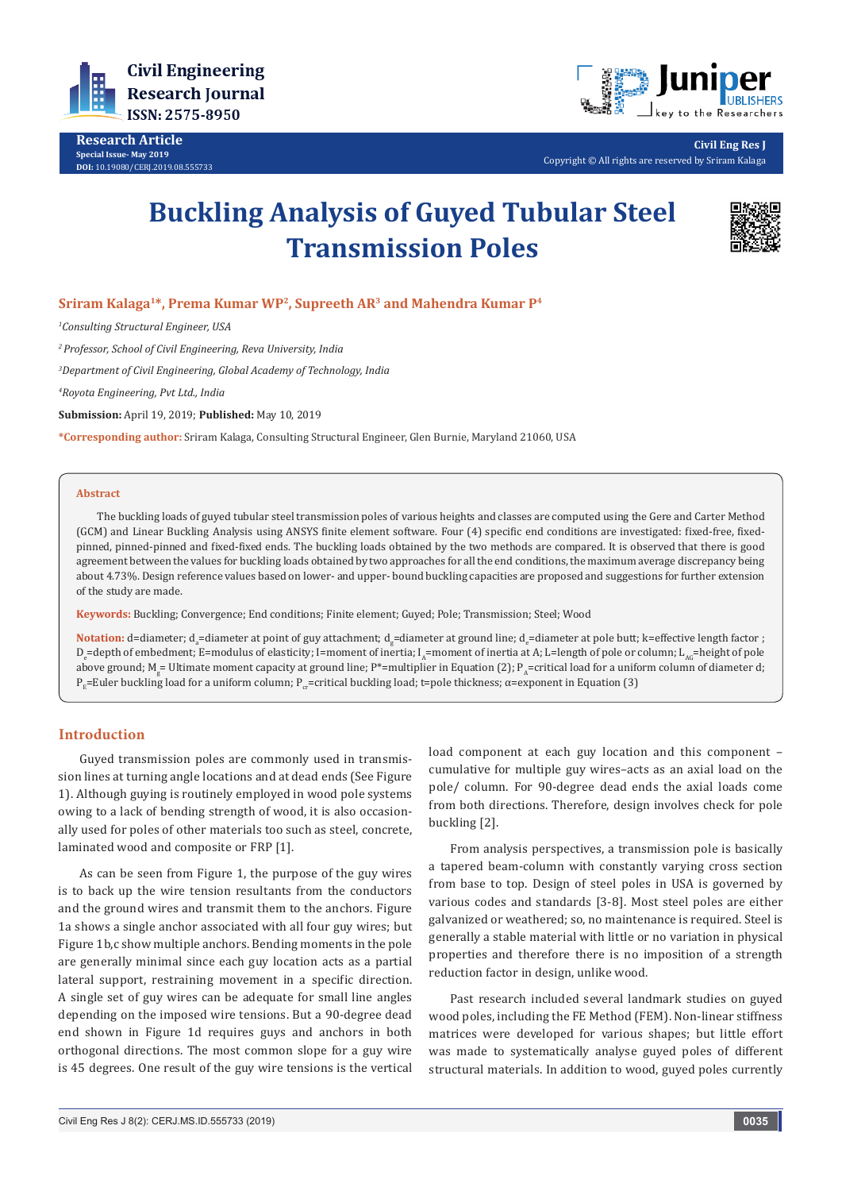

**Research Article Special Issue- May 2019 DOI:** [10.19080/CERJ.2019.08.555733](http://dx.doi.org/10.19080/CERJ.2019.08.555733)



**Civil Eng Res J** Copyright © All rights are reserved by Sriram Kalaga

# **Buckling Analysis of Guyed Tubular Steel Transmission Poles**



# **Sriram Kalaga1\*, Prema Kumar WP2, Supreeth AR3 and Mahendra Kumar P4**

*1 Consulting Structural Engineer, USA*

*2 Professor, School of Civil Engineering, Reva University, India*

*3 Department of Civil Engineering, Global Academy of Technology, India*

*4 Royota Engineering, Pvt Ltd., India*

**Submission:** April 19, 2019; **Published:** May 10, 2019

**\*Corresponding author:** Sriram Kalaga, Consulting Structural Engineer, Glen Burnie, Maryland 21060, USA

#### **Abstract**

The buckling loads of guyed tubular steel transmission poles of various heights and classes are computed using the Gere and Carter Method (GCM) and Linear Buckling Analysis using ANSYS finite element software. Four (4) specific end conditions are investigated: fixed-free, fixedpinned, pinned-pinned and fixed-fixed ends. The buckling loads obtained by the two methods are compared. It is observed that there is good agreement between the values for buckling loads obtained by two approaches for all the end conditions, the maximum average discrepancy being about 4.73%. Design reference values based on lower- and upper- bound buckling capacities are proposed and suggestions for further extension of the study are made.

**Keywords:** Buckling; Convergence; End conditions; Finite element; Guyed; Pole; Transmission; Steel; Wood

 $\blacksquare$ Notation: d=diameter; d<sub>a</sub>=diameter at point of guy attachment; d<sub>g</sub>=diameter at ground line; d<sub>e</sub>=diameter at pole butt; k=effective length factor ; D<sub>e</sub>=depth of embedment; E=modulus of elasticity; I=moment of inertia; I<sub>A</sub>=moment of inertia at A; L=length of pole or column; L<sub>AG</sub>=height of pole above ground; M<sub>g</sub>= Ultimate moment capacity at ground line; P\*=multiplier in Equation [2]; P<sub>A</sub>=critical load for a uniform column of diameter d;  $P<sub>F</sub>=$ Euler buckling load for a uniform column;  $P<sub>cr</sub>=$ critical buckling load; t=pole thickness;  $\alpha$ =exponent in Equation (3)

# **Introduction**

Guyed transmission poles are commonly used in transmission lines at turning angle locations and at dead ends (See Figure 1). Although guying is routinely employed in wood pole systems owing to a lack of bending strength of wood, it is also occasionally used for poles of other materials too such as steel, concrete, laminated wood and composite or FRP [1].

As can be seen from Figure 1, the purpose of the guy wires is to back up the wire tension resultants from the conductors and the ground wires and transmit them to the anchors. Figure 1a shows a single anchor associated with all four guy wires; but Figure 1b,c show multiple anchors. Bending moments in the pole are generally minimal since each guy location acts as a partial lateral support, restraining movement in a specific direction. A single set of guy wires can be adequate for small line angles depending on the imposed wire tensions. But a 90-degree dead end shown in Figure 1d requires guys and anchors in both orthogonal directions. The most common slope for a guy wire is 45 degrees. One result of the guy wire tensions is the vertical load component at each guy location and this component – cumulative for multiple guy wires–acts as an axial load on the pole/ column. For 90-degree dead ends the axial loads come from both directions. Therefore, design involves check for pole buckling [2].

From analysis perspectives, a transmission pole is basically a tapered beam-column with constantly varying cross section from base to top. Design of steel poles in USA is governed by various codes and standards [3-8]. Most steel poles are either galvanized or weathered; so, no maintenance is required. Steel is generally a stable material with little or no variation in physical properties and therefore there is no imposition of a strength reduction factor in design, unlike wood.

Past research included several landmark studies on guyed wood poles, including the FE Method (FEM). Non-linear stiffness matrices were developed for various shapes; but little effort was made to systematically analyse guyed poles of different structural materials. In addition to wood, guyed poles currently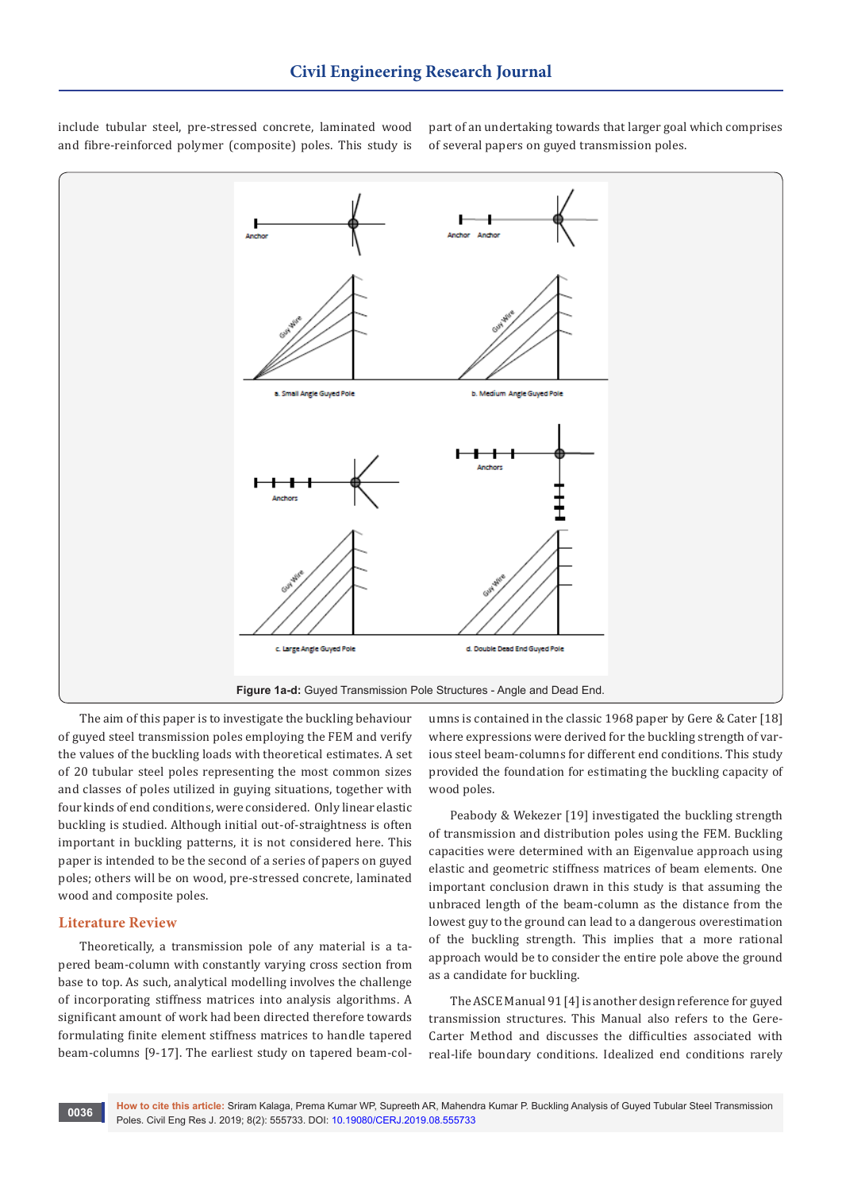

include tubular steel, pre-stressed concrete, laminated wood and fibre-reinforced polymer (composite) poles. This study is

> umns is contained in the classic 1968 paper by Gere & Cater [18] where expressions were derived for the buckling strength of various steel beam-columns for different end conditions. This study provided the foundation for estimating the buckling capacity of wood poles.

> part of an undertaking towards that larger goal which comprises

of several papers on guyed transmission poles.

Peabody & Wekezer [19] investigated the buckling strength of transmission and distribution poles using the FEM. Buckling capacities were determined with an Eigenvalue approach using elastic and geometric stiffness matrices of beam elements. One important conclusion drawn in this study is that assuming the unbraced length of the beam-column as the distance from the lowest guy to the ground can lead to a dangerous overestimation of the buckling strength. This implies that a more rational approach would be to consider the entire pole above the ground as a candidate for buckling.

The ASCE Manual 91 [4] is another design reference for guyed transmission structures. This Manual also refers to the Gere-Carter Method and discusses the difficulties associated with real-life boundary conditions. Idealized end conditions rarely

The aim of this paper is to investigate the buckling behaviour of guyed steel transmission poles employing the FEM and verify the values of the buckling loads with theoretical estimates. A set of 20 tubular steel poles representing the most common sizes and classes of poles utilized in guying situations, together with four kinds of end conditions, were considered. Only linear elastic buckling is studied. Although initial out-of-straightness is often important in buckling patterns, it is not considered here. This paper is intended to be the second of a series of papers on guyed poles; others will be on wood, pre-stressed concrete, laminated wood and composite poles.

### **Literature Review**

Theoretically, a transmission pole of any material is a tapered beam-column with constantly varying cross section from base to top. As such, analytical modelling involves the challenge of incorporating stiffness matrices into analysis algorithms. A significant amount of work had been directed therefore towards formulating finite element stiffness matrices to handle tapered beam-columns [9-17]. The earliest study on tapered beam-col-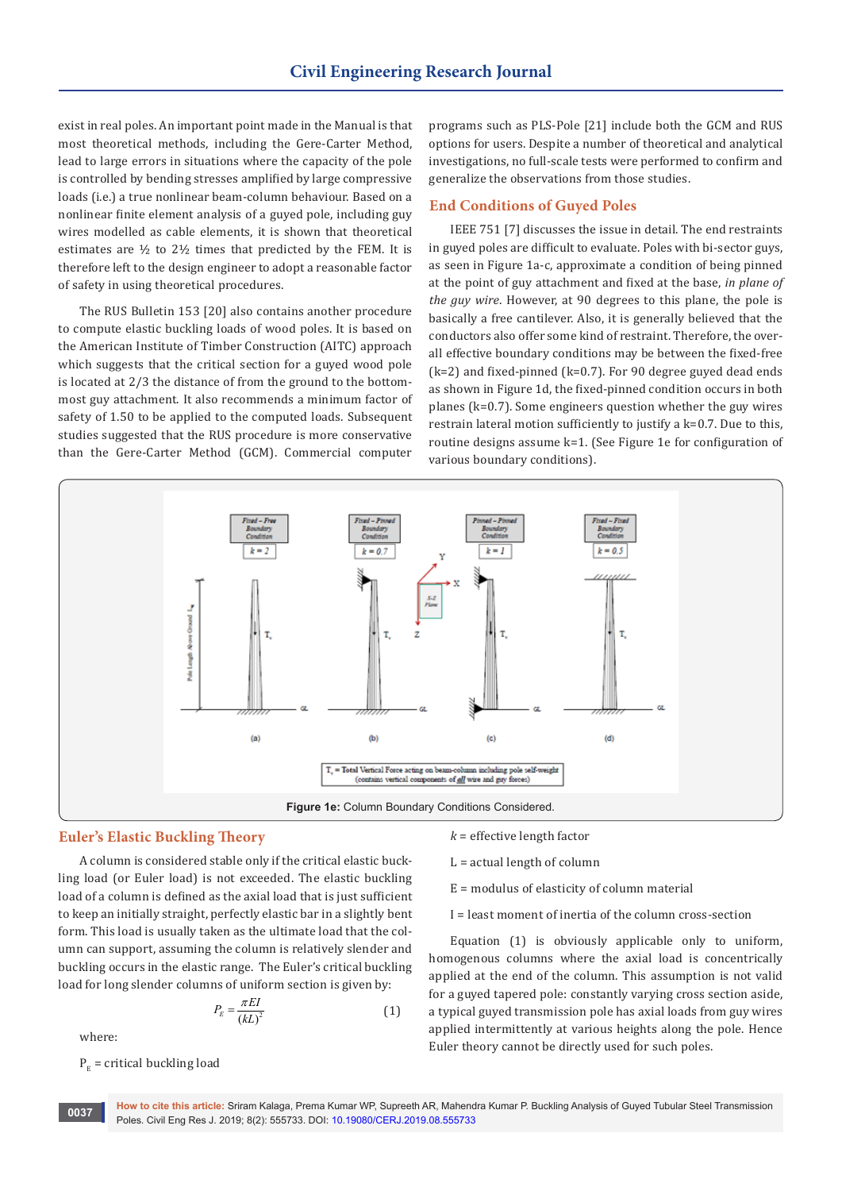exist in real poles. An important point made in the Manual is that most theoretical methods, including the Gere-Carter Method, lead to large errors in situations where the capacity of the pole is controlled by bending stresses amplified by large compressive loads (i.e.) a true nonlinear beam-column behaviour. Based on a nonlinear finite element analysis of a guyed pole, including guy wires modelled as cable elements, it is shown that theoretical estimates are ½ to 2½ times that predicted by the FEM. It is therefore left to the design engineer to adopt a reasonable factor of safety in using theoretical procedures.

The RUS Bulletin 153 [20] also contains another procedure to compute elastic buckling loads of wood poles. It is based on the American Institute of Timber Construction (AITC) approach which suggests that the critical section for a guyed wood pole is located at 2/3 the distance of from the ground to the bottommost guy attachment. It also recommends a minimum factor of safety of 1.50 to be applied to the computed loads. Subsequent studies suggested that the RUS procedure is more conservative than the Gere-Carter Method (GCM). Commercial computer programs such as PLS-Pole [21] include both the GCM and RUS options for users. Despite a number of theoretical and analytical investigations, no full-scale tests were performed to confirm and generalize the observations from those studies.

#### **End Conditions of Guyed Poles**

IEEE 751 [7] discusses the issue in detail. The end restraints in guyed poles are difficult to evaluate. Poles with bi-sector guys, as seen in Figure 1a-c, approximate a condition of being pinned at the point of guy attachment and fixed at the base, *in plane of the guy wire*. However, at 90 degrees to this plane, the pole is basically a free cantilever. Also, it is generally believed that the conductors also offer some kind of restraint. Therefore, the overall effective boundary conditions may be between the fixed-free  $(k=2)$  and fixed-pinned  $(k=0.7)$ . For 90 degree guyed dead ends as shown in Figure 1d, the fixed-pinned condition occurs in both planes (k=0.7). Some engineers question whether the guy wires restrain lateral motion sufficiently to justify a k=0.7. Due to this, routine designs assume k=1. (See Figure 1e for configuration of various boundary conditions).



#### **Euler's Elastic Buckling Theory**

A column is considered stable only if the critical elastic buckling load (or Euler load) is not exceeded. The elastic buckling load of a column is defined as the axial load that is just sufficient to keep an initially straight, perfectly elastic bar in a slightly bent form. This load is usually taken as the ultimate load that the column can support, assuming the column is relatively slender and buckling occurs in the elastic range. The Euler's critical buckling load for long slender columns of uniform section is given by:

$$
P_E = \frac{\pi EI}{\left(kL\right)^2} \tag{1}
$$

where:

 $P<sub>v</sub>$  = critical buckling load

 $k =$  effective length factor

 $L = actual length of column$ 

- E = modulus of elasticity of column material
- I = least moment of inertia of the column cross-section

Equation (1) is obviously applicable only to uniform, homogenous columns where the axial load is concentrically applied at the end of the column. This assumption is not valid for a guyed tapered pole: constantly varying cross section aside, a typical guyed transmission pole has axial loads from guy wires applied intermittently at various heights along the pole. Hence Euler theory cannot be directly used for such poles.

**How to cite this article:** Sriram Kalaga, Prema Kumar WP, Supreeth AR, Mahendra Kumar P. Buckling Analysis of Guyed Tubular Steel Transmission **Poles. Civil Eng Res J. 2019; 8(2): 555733. DOI: [10.19080/CERJ.2019.08.555733](http://dx.doi.org/10.19080/CERJ.2019.08.555733)**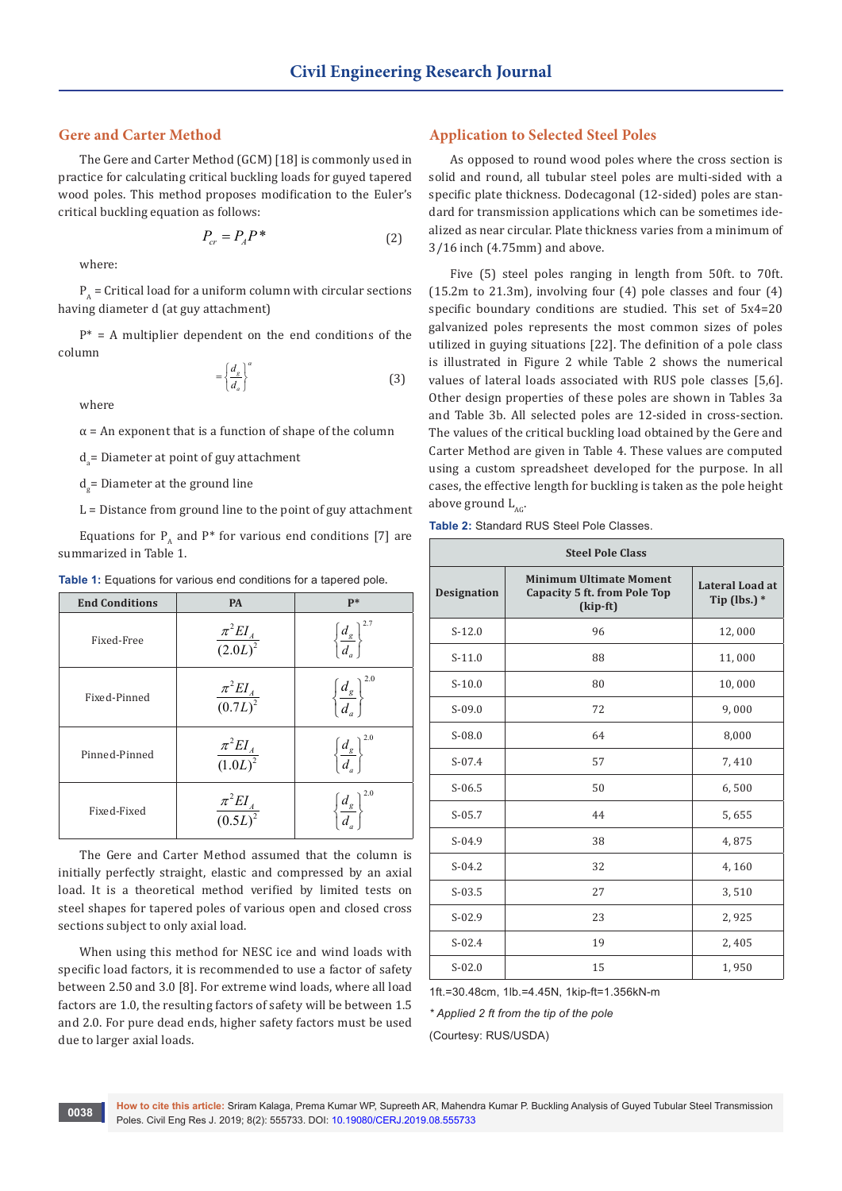### **Gere and Carter Method**

The Gere and Carter Method (GCM) [18] is commonly used in practice for calculating critical buckling loads for guyed tapered wood poles. This method proposes modification to the Euler's critical buckling equation as follows:

$$
P_{cr} = P_A P^* \tag{2}
$$

where:

 $P_{A}$  = Critical load for a uniform column with circular sections having diameter d (at guy attachment)

 $P^*$  = A multiplier dependent on the end conditions of the column

$$
= \left\{ \frac{d_g}{d_a} \right\}^a \tag{3}
$$

where

 $\alpha$  = An exponent that is a function of shape of the column

 $d_a$  = Diameter at point of guy attachment

d<sub>g</sub>= Diameter at the ground line

 $L =$  Distance from ground line to the point of guy attachment

Equations for  $P_{A}$  and  $P^{*}$  for various end conditions [7] are summarized in Table 1.

| Table 1: Equations for various end conditions for a tapered pole. |  |  |  |
|-------------------------------------------------------------------|--|--|--|
|-------------------------------------------------------------------|--|--|--|

| <b>End Conditions</b> | <b>PA</b>                     | $P*$                                          |
|-----------------------|-------------------------------|-----------------------------------------------|
| Fixed-Free            | $\frac{\pi^2 EI_A}{(2.0L)^2}$ | $\left\{\frac{d_{g}}{d_{a}}\right\}$          |
| Fixed-Pinned          | $\frac{\pi^2 EI_A}{(0.7L)^2}$ | 2.0<br>$\left\{\frac{d_{g}}{d_{g}}\right\}$   |
| Pinned-Pinned         | $\frac{\pi^2 EI_A}{(1.0L)^2}$ | $\left\{\frac{d_{g}}{d_{a}}\right\}$          |
| Fixed-Fixed           | $\frac{\pi^2 EI_A}{(0.5L)^2}$ | n 2.0<br>$\left\{\frac{d_{g}}{d_{a}}\right\}$ |

The Gere and Carter Method assumed that the column is initially perfectly straight, elastic and compressed by an axial load. It is a theoretical method verified by limited tests on steel shapes for tapered poles of various open and closed cross sections subject to only axial load.

When using this method for NESC ice and wind loads with specific load factors, it is recommended to use a factor of safety between 2.50 and 3.0 [8]. For extreme wind loads, where all load factors are 1.0, the resulting factors of safety will be between 1.5 and 2.0. For pure dead ends, higher safety factors must be used due to larger axial loads.

#### **Application to Selected Steel Poles**

As opposed to round wood poles where the cross section is solid and round, all tubular steel poles are multi-sided with a specific plate thickness. Dodecagonal (12-sided) poles are standard for transmission applications which can be sometimes idealized as near circular. Plate thickness varies from a minimum of 3/16 inch (4.75mm) and above.

Five (5) steel poles ranging in length from 50ft. to 70ft. (15.2m to 21.3m), involving four (4) pole classes and four (4) specific boundary conditions are studied. This set of 5x4=20 galvanized poles represents the most common sizes of poles utilized in guying situations [22]. The definition of a pole class is illustrated in Figure 2 while Table 2 shows the numerical values of lateral loads associated with RUS pole classes [5,6]. Other design properties of these poles are shown in Tables 3a and Table 3b. All selected poles are 12-sided in cross-section. The values of the critical buckling load obtained by the Gere and Carter Method are given in Table 4. These values are computed using a custom spreadsheet developed for the purpose. In all cases, the effective length for buckling is taken as the pole height above ground  $L_{ac}$ .

| <b>Steel Pole Class</b> |                                                                            |                                          |  |  |  |  |  |
|-------------------------|----------------------------------------------------------------------------|------------------------------------------|--|--|--|--|--|
| <b>Designation</b>      | <b>Minimum Ultimate Moment</b><br>Capacity 5 ft. from Pole Top<br>(kip-ft) | <b>Lateral Load at</b><br>Tip (lbs.) $*$ |  |  |  |  |  |
| $S-12.0$                | 96                                                                         | 12,000                                   |  |  |  |  |  |
| $S-11.0$                | 88                                                                         | 11,000                                   |  |  |  |  |  |
| $S-10.0$                | 80                                                                         | 10,000                                   |  |  |  |  |  |
| $S-09.0$                | 72                                                                         | 9,000                                    |  |  |  |  |  |
| $S-08.0$                | 64                                                                         | 8,000                                    |  |  |  |  |  |
| $S-07.4$                | 57                                                                         | 7,410                                    |  |  |  |  |  |
| $S-06.5$                | 50                                                                         | 6,500                                    |  |  |  |  |  |
| $S-05.7$                | 44                                                                         | 5,655                                    |  |  |  |  |  |
| $S-04.9$                | 38                                                                         | 4,875                                    |  |  |  |  |  |
| $S-04.2$                | 32                                                                         | 4,160                                    |  |  |  |  |  |
| $S-03.5$                | 27                                                                         | 3,510                                    |  |  |  |  |  |
| $S-02.9$                | 23                                                                         | 2,925                                    |  |  |  |  |  |
| $S-02.4$                | 19                                                                         | 2,405                                    |  |  |  |  |  |
| $S - 02.0$              | 15                                                                         | 1,950                                    |  |  |  |  |  |

1ft.=30.48cm, 1lb.=4.45N, 1kip-ft=1.356kN-m

*\* Applied 2 ft from the tip of the pole*

(Courtesy: RUS/USDA)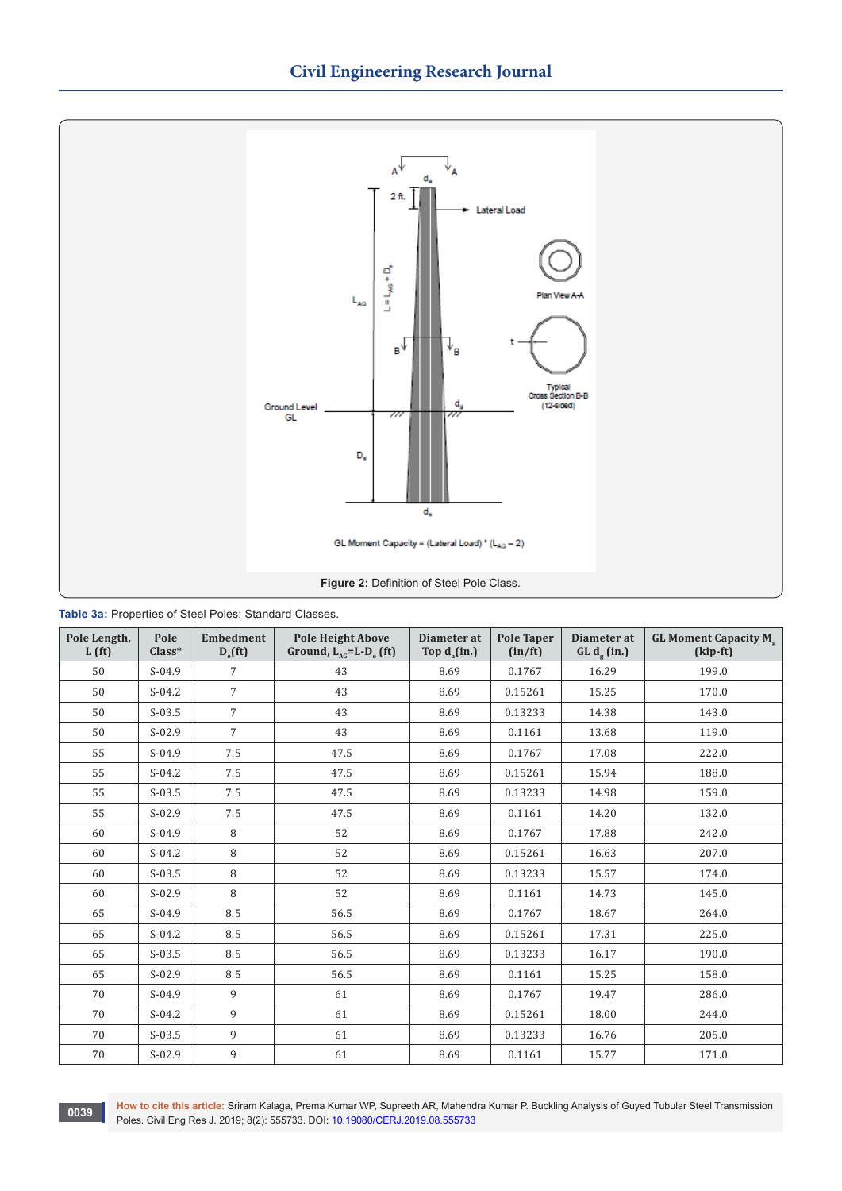

|  | Table 3a: Properties of Steel Poles: Standard Classes. |  |  |  |  |
|--|--------------------------------------------------------|--|--|--|--|
|--|--------------------------------------------------------|--|--|--|--|

| Pole Length,<br>L(f <sub>t</sub> ) | Pole<br>$Class*$ | <b>Embedment</b><br>$D_{\rm e}$ (ft) | <b>Pole Height Above</b><br>Ground, $L_{AG} = L - D_e$ (ft) | Diameter at<br>Top $d_a(in.)$ | <b>Pole Taper</b><br>(in/ft) | Diameter at<br>$GL de$ (in.) | <b>GL Moment Capacity M<sub>g</sub></b><br>(kip-ft) |
|------------------------------------|------------------|--------------------------------------|-------------------------------------------------------------|-------------------------------|------------------------------|------------------------------|-----------------------------------------------------|
| 50                                 | $S-04.9$         | 7                                    | 43                                                          | 8.69                          | 0.1767                       | 16.29                        | 199.0                                               |
| 50                                 | $S-04.2$         | $\overline{7}$                       | 43                                                          | 8.69                          | 0.15261                      | 15.25                        | 170.0                                               |
| 50                                 | $S-03.5$         | $\overline{7}$                       | 43                                                          | 8.69                          | 0.13233                      | 14.38                        | 143.0                                               |
| 50                                 | $S-02.9$         | $\overline{7}$                       | 43                                                          | 8.69                          | 0.1161                       | 13.68                        | 119.0                                               |
| 55                                 | $S-04.9$         | 7.5                                  | 47.5                                                        | 8.69                          | 0.1767                       | 17.08                        | 222.0                                               |
| 55                                 | $S-04.2$         | 7.5                                  | 47.5                                                        | 8.69                          | 0.15261                      | 15.94                        | 188.0                                               |
| 55                                 | $S-03.5$         | 7.5                                  | 47.5                                                        | 8.69                          | 0.13233                      | 14.98                        | 159.0                                               |
| 55                                 | $S-02.9$         | 7.5                                  | 47.5                                                        | 8.69                          | 0.1161                       | 14.20                        | 132.0                                               |
| 60                                 | $S-04.9$         | 8                                    | 52                                                          | 8.69                          | 0.1767                       | 17.88                        | 242.0                                               |
| 60                                 | $S-04.2$         | 8                                    | 52                                                          | 8.69                          | 0.15261                      | 16.63                        | 207.0                                               |
| 60                                 | $S-03.5$         | 8                                    | 52                                                          | 8.69                          | 0.13233                      | 15.57                        | 174.0                                               |
| 60                                 | $S-02.9$         | 8                                    | 52                                                          | 8.69                          | 0.1161                       | 14.73                        | 145.0                                               |
| 65                                 | $S-04.9$         | 8.5                                  | 56.5                                                        | 8.69                          | 0.1767                       | 18.67                        | 264.0                                               |
| 65                                 | $S-04.2$         | 8.5                                  | 56.5                                                        | 8.69                          | 0.15261                      | 17.31                        | 225.0                                               |
| 65                                 | $S-03.5$         | 8.5                                  | 56.5                                                        | 8.69                          | 0.13233                      | 16.17                        | 190.0                                               |
| 65                                 | $S-02.9$         | 8.5                                  | 56.5                                                        | 8.69                          | 0.1161                       | 15.25                        | 158.0                                               |
| 70                                 | $S-04.9$         | 9                                    | 61                                                          | 8.69                          | 0.1767                       | 19.47                        | 286.0                                               |
| 70                                 | $S-04.2$         | 9                                    | 61                                                          | 8.69                          | 0.15261                      | 18.00                        | 244.0                                               |
| 70                                 | $S-03.5$         | 9                                    | 61                                                          | 8.69                          | 0.13233                      | 16.76                        | 205.0                                               |
| 70                                 | $S-02.9$         | 9                                    | 61                                                          | 8.69                          | 0.1161                       | 15.77                        | 171.0                                               |

**How to cite this article:** Sriram Kalaga, Prema Kumar WP, Supreeth AR, Mahendra Kumar P. Buckling Analysis of Guyed Tubular Steel Transmission Poles. Civil Eng Res J. 2019; 8(2): 555733. DOI: [10.19080/CERJ.2019.08.555733](http://dx.doi.org/10.19080/CERJ.2019.08.555733)<br>Poles. Civil Eng Res J. 2019; 8(2): 555733. DOI: 10.19080/CERJ.2019.08.555733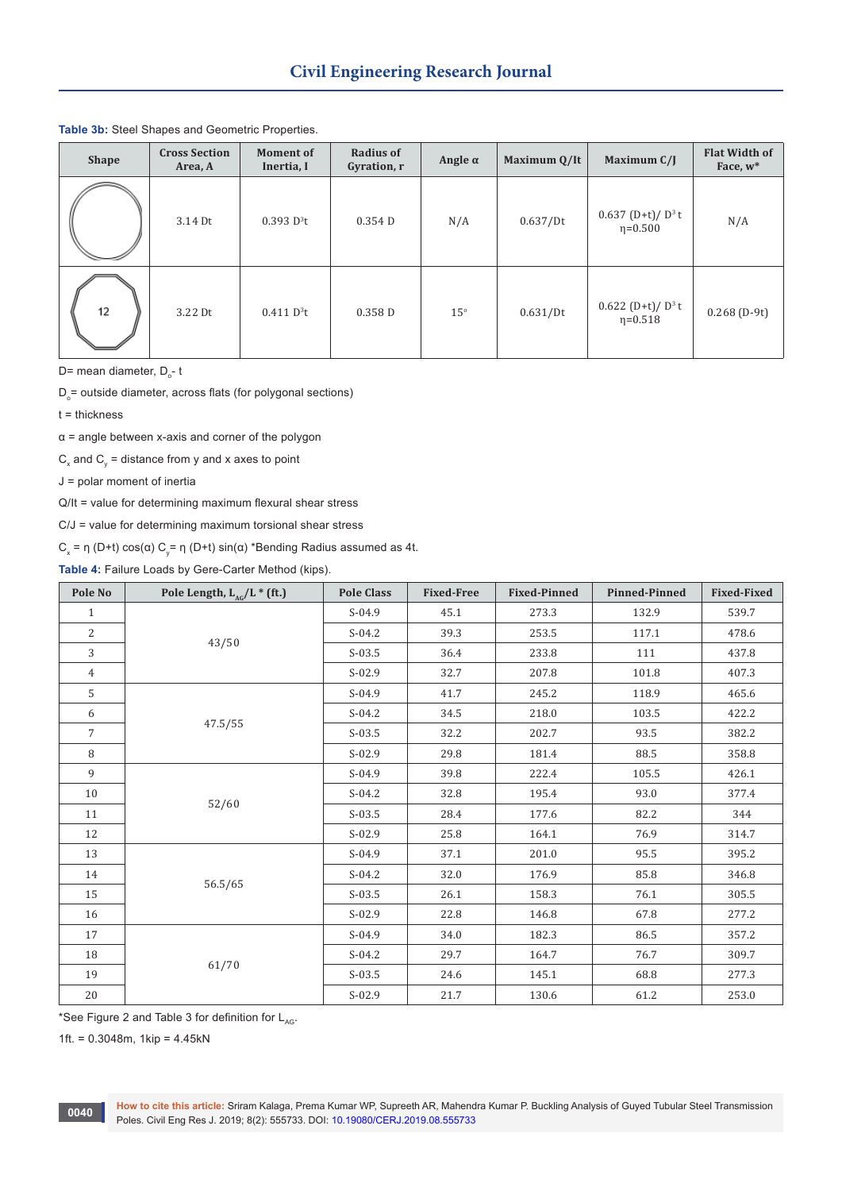| <b>Shape</b> | <b>Cross Section</b><br>Area, A | <b>Moment of</b><br>Inertia, I | Radius of<br>Gyration, r | Angle $\alpha$ | Maximum Q/It | Maximum C/J                                      | <b>Flat Width of</b><br>Face, $w^*$ |
|--------------|---------------------------------|--------------------------------|--------------------------|----------------|--------------|--------------------------------------------------|-------------------------------------|
|              | 3.14 Dt                         | $0.393 D^{3}t$                 | $0.354$ D                | N/A            | 0.637/Dt     | $0.637$ (D+t)/D <sup>3</sup> t<br>$\eta = 0.500$ | N/A                                 |
| 12           | 3.22 Dt                         | 0.411 D <sup>3</sup> t         | 0.358 <sub>D</sub>       | $15^{\circ}$   | 0.631/Dt     | 0.622 (D+t)/ $D^3$ t<br>$\eta = 0.518$           | $0.268(D-9t)$                       |

#### **Table 3b:** Steel Shapes and Geometric Properties.

D= mean diameter, D<sub>o</sub>- t

 $\mathsf{D}_\circ$ = outside diameter, across flats (for polygonal sections)

t = thickness

 $\alpha$  = angle between x-axis and corner of the polygon

 $\mathsf{C}_\mathsf{x}$  and  $\mathsf{C}_\mathsf{y}$  = distance from y and x axes to point

J = polar moment of inertia

Q/It = value for determining maximum flexural shear stress

C/J = value for determining maximum torsional shear stress

C<sub>x</sub> = η (D+t) cos(α) C<sub>y</sub>= η (D+t) sin(α) \*Bending Radius assumed as 4t.

**Table 4:** Failure Loads by Gere-Carter Method (kips).

| Pole No        | Pole Length, $L_{AG}/L$ * (ft.) | <b>Pole Class</b> | <b>Fixed-Free</b> | <b>Fixed-Pinned</b> | <b>Pinned-Pinned</b> | <b>Fixed-Fixed</b> |
|----------------|---------------------------------|-------------------|-------------------|---------------------|----------------------|--------------------|
| $\mathbf{1}$   | 43/50                           | $S-04.9$          | 45.1              | 273.3               | 132.9                | 539.7              |
| 2              |                                 | $S-04.2$          | 39.3              | 253.5               | 117.1                | 478.6              |
| 3              |                                 | $S-03.5$          | 36.4              | 233.8               | 111                  | 437.8              |
| $\overline{4}$ |                                 | $S-02.9$          | 32.7              | 207.8               | 101.8                | 407.3              |
| 5              |                                 | $S-04.9$          | 41.7              | 245.2               | 118.9                | 465.6              |
| 6              | 47.5/55                         | $S-04.2$          | 34.5              | 218.0               | 103.5                | 422.2              |
| $\overline{7}$ |                                 | $S-03.5$          | 32.2              | 202.7               | 93.5                 | 382.2              |
| 8              |                                 | $S-02.9$          | 29.8              | 181.4               | 88.5                 | 358.8              |
| 9              | 52/60                           | $S-04.9$          | 39.8              | 222.4               | 105.5                | 426.1              |
| 10             |                                 | $S-04.2$          | 32.8              | 195.4               | 93.0                 | 377.4              |
| 11             |                                 | $S-03.5$          | 28.4              | 177.6               | 82.2                 | 344                |
| 12             |                                 | $S-02.9$          | 25.8              | 164.1               | 76.9                 | 314.7              |
| 13             |                                 | $S-04.9$          | 37.1              | 201.0               | 95.5                 | 395.2              |
| 14             | 56.5/65                         | $S-04.2$          | 32.0              | 176.9               | 85.8                 | 346.8              |
| 15             |                                 | $S-03.5$          | 26.1              | 158.3               | 76.1                 | 305.5              |
| 16             |                                 | $S-02.9$          | 22.8              | 146.8               | 67.8                 | 277.2              |
| 17             |                                 | $S-04.9$          | 34.0              | 182.3               | 86.5                 | 357.2              |
| 18             |                                 | $S-04.2$          | 29.7              | 164.7               | 76.7                 | 309.7              |
| 19             | 61/70                           | $S-03.5$          | 24.6              | 145.1               | 68.8                 | 277.3              |
| $20\,$         |                                 | $S-02.9$          | 21.7              | 130.6               | 61.2                 | 253.0              |

\*See Figure 2 and Table 3 for definition for  $L_{AG}$ .

1ft. = 0.3048m, 1kip = 4.45kN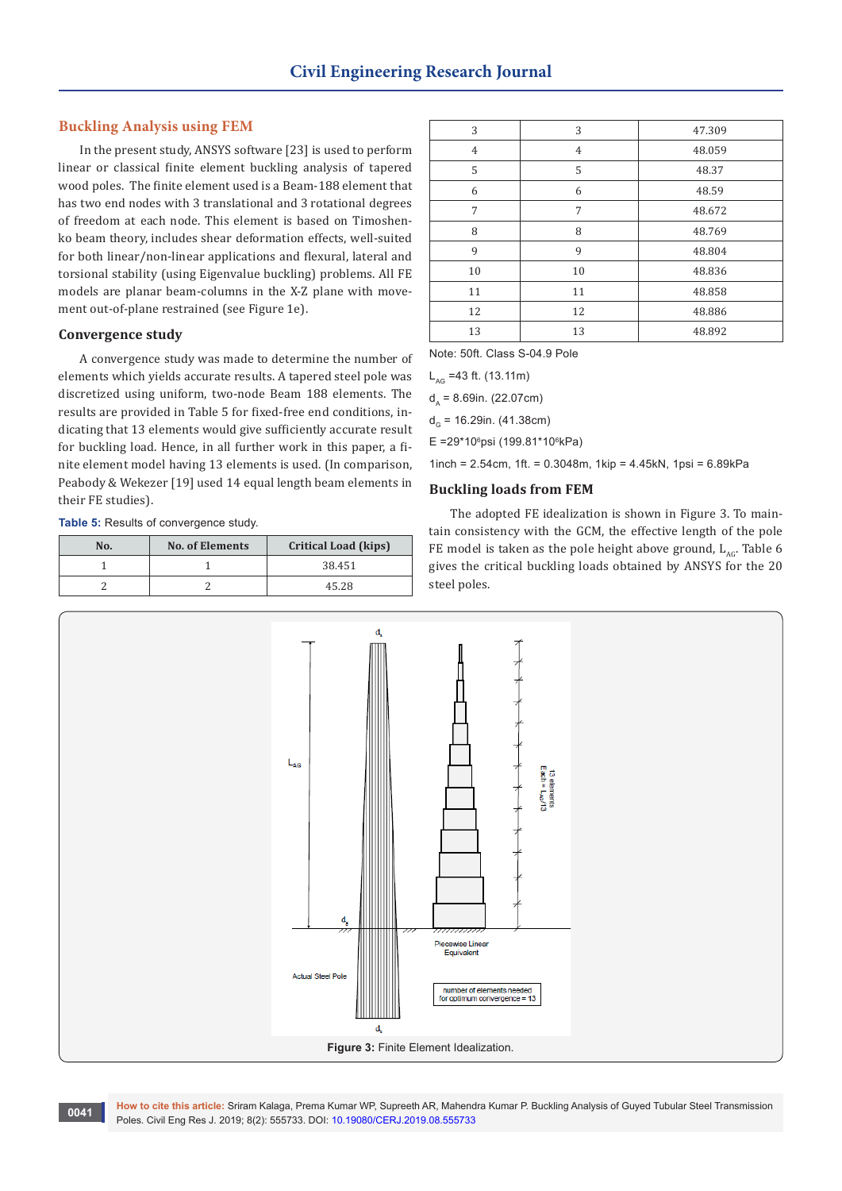#### **Buckling Analysis using FEM**

In the present study, ANSYS software [23] is used to perform linear or classical finite element buckling analysis of tapered wood poles. The finite element used is a Beam-188 element that has two end nodes with 3 translational and 3 rotational degrees of freedom at each node. This element is based on Timoshenko beam theory, includes shear deformation effects, well-suited for both linear/non-linear applications and flexural, lateral and torsional stability (using Eigenvalue buckling) problems. All FE models are planar beam-columns in the X-Z plane with movement out-of-plane restrained (see Figure 1e).

#### **Convergence study**

A convergence study was made to determine the number of elements which yields accurate results. A tapered steel pole was discretized using uniform, two-node Beam 188 elements. The results are provided in Table 5 for fixed-free end conditions, indicating that 13 elements would give sufficiently accurate result for buckling load. Hence, in all further work in this paper, a finite element model having 13 elements is used. (In comparison, Peabody & Wekezer [19] used 14 equal length beam elements in their FE studies).

**Table 5:** Results of convergence study.

| No. | <b>No. of Elements</b> | <b>Critical Load (kips)</b> |
|-----|------------------------|-----------------------------|
|     |                        | 38.451                      |
|     |                        | 45.28                       |

| 3              | 3              | 47.309 |
|----------------|----------------|--------|
| $\overline{4}$ | $\overline{4}$ | 48.059 |
| 5              | 5              | 48.37  |
| 6              | 6              | 48.59  |
| 7              | 7              | 48.672 |
| 8              | 8              | 48.769 |
| 9              | 9              | 48.804 |
| 10             | 10             | 48.836 |
| 11             | 11             | 48.858 |
| 12             | 12             | 48.886 |
| 13             | 13             | 48.892 |

Note: 50ft. Class S-04.9 Pole

 $L_{AG}$  =43 ft. (13.11m)

 $d_0 = 8.69$ in. (22.07cm)

 $d<sub>c</sub>$  = 16.29in. (41.38cm)

E =29\*10<sup>6</sup>psi (199.81\*10<sup>6</sup>kPa)

1inch = 2.54cm, 1ft. = 0.3048m, 1kip = 4.45kN, 1psi = 6.89kPa

#### **Buckling loads from FEM**

The adopted FE idealization is shown in Figure 3. To maintain consistency with the GCM, the effective length of the pole FE model is taken as the pole height above ground,  $L_{AC}$ . Table 6 gives the critical buckling loads obtained by ANSYS for the 20 steel poles.



**How to cite this article:** Sriram Kalaga, Prema Kumar WP, Supreeth AR, Mahendra Kumar P. Buckling Analysis of Guyed Tubular Steel Transmission **POLES RESEARCE:** Shram Kalaga, Prema Kumar WP, Supreeth AR, Mahend<br>Poles. Civil Eng Res J. 2019; 8(2): 555733. DOI: [10.19080/CERJ.2019.08.555733](http://dx.doi.org/10.19080/CERJ.2019.08.555733)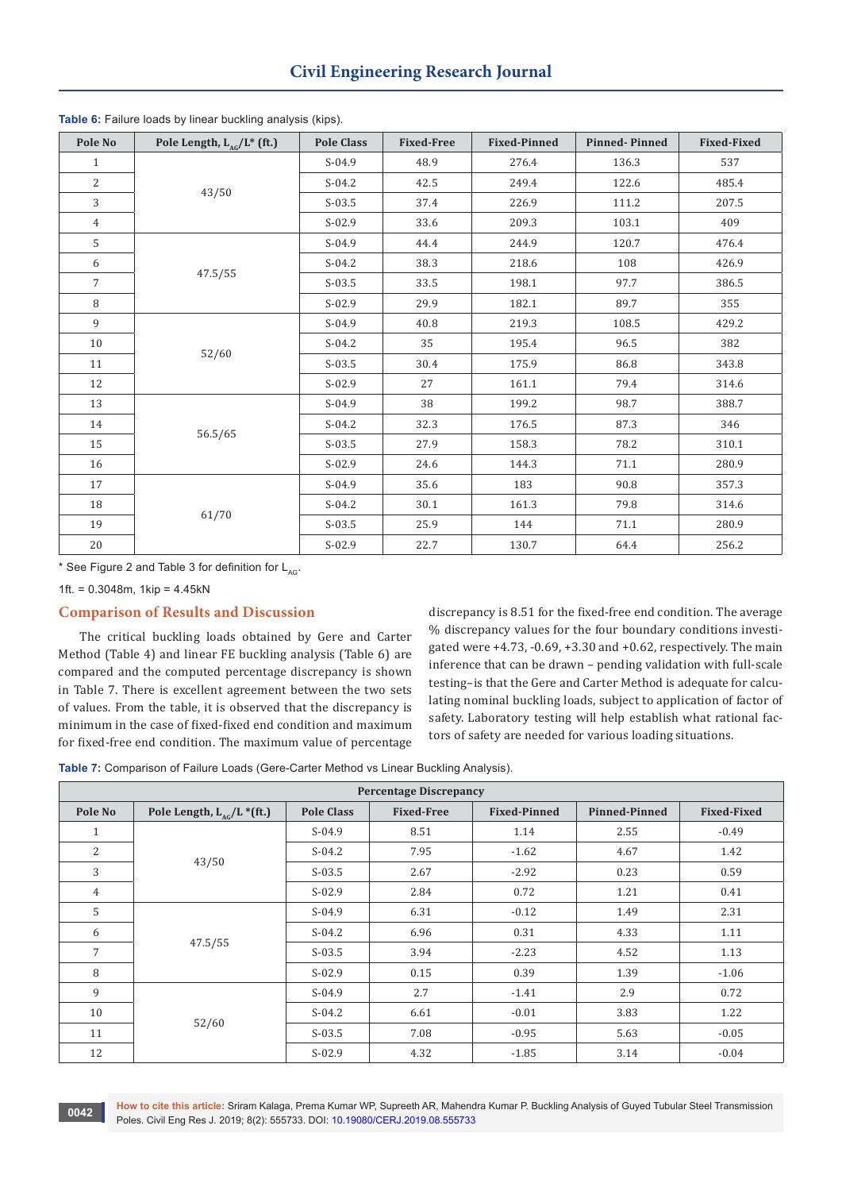| Pole No        | Pole Length, $L_{AG}/L^*$ (ft.) | <b>Pole Class</b> | <b>Fixed-Free</b> | <b>Fixed-Pinned</b> | <b>Pinned-Pinned</b> | <b>Fixed-Fixed</b> |
|----------------|---------------------------------|-------------------|-------------------|---------------------|----------------------|--------------------|
| $\mathbf{1}$   | 43/50                           | $S-04.9$          | 48.9              | 276.4               | 136.3                | 537                |
| 2              |                                 | $S-04.2$          | 42.5              | 249.4               | 122.6                | 485.4              |
| 3              |                                 | $S-03.5$          | 37.4              | 226.9               | 111.2                | 207.5              |
| $\overline{4}$ |                                 | $S-02.9$          | 33.6              | 209.3               | 103.1                | 409                |
| 5              |                                 | $S-04.9$          | 44.4              | 244.9               | 120.7                | 476.4              |
| 6              | 47.5/55                         | $S-04.2$          | 38.3              | 218.6               | 108                  | 426.9              |
| $\overline{7}$ |                                 | $S-03.5$          | 33.5              | 198.1               | 97.7                 | 386.5              |
| 8              |                                 | $S-02.9$          | 29.9              | 182.1               | 89.7                 | 355                |
| 9              | 52/60                           | $S-04.9$          | 40.8              | 219.3               | 108.5                | 429.2              |
| 10             |                                 | $S-04.2$          | 35                | 195.4               | 96.5                 | 382                |
| 11             |                                 | $S-03.5$          | 30.4              | 175.9               | 86.8                 | 343.8              |
| 12             |                                 | $S-02.9$          | 27                | 161.1               | 79.4                 | 314.6              |
| 13             |                                 | $S-04.9$          | 38                | 199.2               | 98.7                 | 388.7              |
| 14             |                                 | $S-04.2$          | 32.3              | 176.5               | 87.3                 | 346                |
| 15             | 56.5/65                         | $S-03.5$          | 27.9              | 158.3               | 78.2                 | 310.1              |
| 16             |                                 | $S-02.9$          | 24.6              | 144.3               | 71.1                 | 280.9              |
| 17             |                                 | $S-04.9$          | 35.6              | 183                 | 90.8                 | 357.3              |
| 18             |                                 | $S-04.2$          | 30.1              | 161.3               | 79.8                 | 314.6              |
| 19             | 61/70                           | $S-03.5$          | 25.9              | 144                 | 71.1                 | 280.9              |
| $20\,$         |                                 | $S-02.9$          | 22.7              | 130.7               | 64.4                 | 256.2              |

**Table 6:** Failure loads by linear buckling analysis (kips).

\* See Figure 2 and Table 3 for definition for  $L_{AC}$ .

1ft. =  $0.3048$ m. 1kip =  $4.45kN$ 

# **Comparison of Results and Discussion**

The critical buckling loads obtained by Gere and Carter Method (Table 4) and linear FE buckling analysis (Table 6) are compared and the computed percentage discrepancy is shown in Table 7. There is excellent agreement between the two sets of values. From the table, it is observed that the discrepancy is minimum in the case of fixed-fixed end condition and maximum for fixed-free end condition. The maximum value of percentage discrepancy is 8.51 for the fixed-free end condition. The average % discrepancy values for the four boundary conditions investigated were  $+4.73$ ,  $-0.69$ ,  $+3.30$  and  $+0.62$ , respectively. The main inference that can be drawn – pending validation with full-scale testing–is that the Gere and Carter Method is adequate for calculating nominal buckling loads, subject to application of factor of safety. Laboratory testing will help establish what rational factors of safety are needed for various loading situations.

**Table 7:** Comparison of Failure Loads (Gere-Carter Method vs Linear Buckling Analysis).

| <b>Percentage Discrepancy</b> |                                |                   |                   |                     |                      |                    |  |
|-------------------------------|--------------------------------|-------------------|-------------------|---------------------|----------------------|--------------------|--|
| Pole No                       | Pole Length, $L_{AC}/L$ *(ft.) | <b>Pole Class</b> | <b>Fixed-Free</b> | <b>Fixed-Pinned</b> | <b>Pinned-Pinned</b> | <b>Fixed-Fixed</b> |  |
| $\mathbf{1}$                  |                                | $S-04.9$          | 8.51              | 1.14                | 2.55                 | $-0.49$            |  |
| 2                             | 43/50                          | $S-04.2$          | 7.95              | $-1.62$             | 4.67                 | 1.42               |  |
| 3                             |                                | $S-03.5$          | 2.67              | $-2.92$             | 0.23                 | 0.59               |  |
| $\overline{4}$                |                                | $S-02.9$          | 2.84              | 0.72                | 1.21                 | 0.41               |  |
| 5                             |                                | $S-04.9$          | 6.31              | $-0.12$             | 1.49                 | 2.31               |  |
| 6                             |                                | $S-04.2$          | 6.96              | 0.31                | 4.33                 | 1.11               |  |
| $7\overline{ }$               | 47.5/55                        | $S-03.5$          | 3.94              | $-2.23$             | 4.52                 | 1.13               |  |
| 8                             |                                | $S-02.9$          | 0.15              | 0.39                | 1.39                 | $-1.06$            |  |
| 9                             |                                | $S-04.9$          | 2.7               | $-1.41$             | 2.9                  | 0.72               |  |
| 10                            | 52/60                          | $S-04.2$          | 6.61              | $-0.01$             | 3.83                 | 1.22               |  |
| 11                            |                                | $S-03.5$          | 7.08              | $-0.95$             | 5.63                 | $-0.05$            |  |
| 12                            |                                | $S-02.9$          | 4.32              | $-1.85$             | 3.14                 | $-0.04$            |  |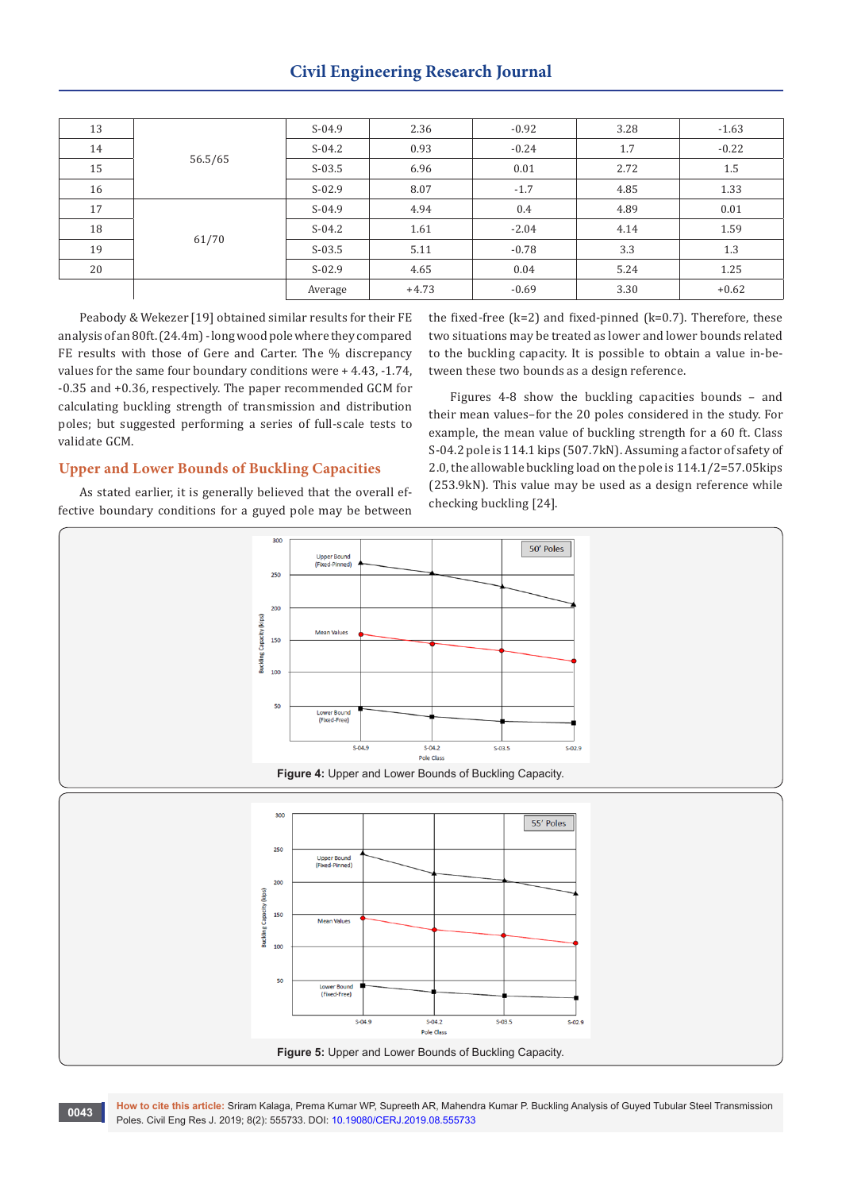# **Civil Engineering Research Journal**

| 13 |                  | $S-04.9$ | 2.36    | $-0.92$ | 3.28 | $-1.63$ |
|----|------------------|----------|---------|---------|------|---------|
| 14 | 56.5/65<br>61/70 | $S-04.2$ | 0.93    | $-0.24$ | 1.7  | $-0.22$ |
| 15 |                  | $S-03.5$ | 6.96    | 0.01    | 2.72 | $1.5\,$ |
| 16 |                  | $S-02.9$ | 8.07    | $-1.7$  | 4.85 | 1.33    |
| 17 |                  | $S-04.9$ | 4.94    | 0.4     | 4.89 | 0.01    |
| 18 |                  | $S-04.2$ | 1.61    | $-2.04$ | 4.14 | 1.59    |
| 19 |                  | $S-03.5$ | 5.11    | $-0.78$ | 3.3  | 1.3     |
| 20 |                  | $S-02.9$ | 4.65    | 0.04    | 5.24 | 1.25    |
|    |                  | Average  | $+4.73$ | $-0.69$ | 3.30 | $+0.62$ |

Peabody & Wekezer [19] obtained similar results for their FE analysis of an 80ft. (24.4m) - long wood pole where they compared FE results with those of Gere and Carter. The % discrepancy values for the same four boundary conditions were + 4.43, -1.74, -0.35 and +0.36, respectively. The paper recommended GCM for calculating buckling strength of transmission and distribution poles; but suggested performing a series of full-scale tests to validate GCM.

# the fixed-free  $(k=2)$  and fixed-pinned  $(k=0.7)$ . Therefore, these two situations may be treated as lower and lower bounds related to the buckling capacity. It is possible to obtain a value in-between these two bounds as a design reference.

Figures 4-8 show the buckling capacities bounds – and their mean values–for the 20 poles considered in the study. For example, the mean value of buckling strength for a 60 ft. Class S-04.2 pole is 114.1 kips (507.7kN). Assuming a factor of safety of 2.0, the allowable buckling load on the pole is 114.1/2=57.05kips (253.9kN). This value may be used as a design reference while checking buckling [24].

## **Upper and Lower Bounds of Buckling Capacities**

As stated earlier, it is generally believed that the overall effective boundary conditions for a guyed pole may be between



**How to cite this article:** Sriram Kalaga, Prema Kumar WP, Supreeth AR, Mahendra Kumar P. Buckling Analysis of Guyed Tubular Steel Transmission **POLES RESEARCE:** Shram Kalaga, Prema Kumar WP, Supreeth AR, Mahend<br>Poles. Civil Eng Res J. 2019; 8(2): 555733. DOI: [10.19080/CERJ.2019.08.555733](http://dx.doi.org/10.19080/CERJ.2019.08.555733)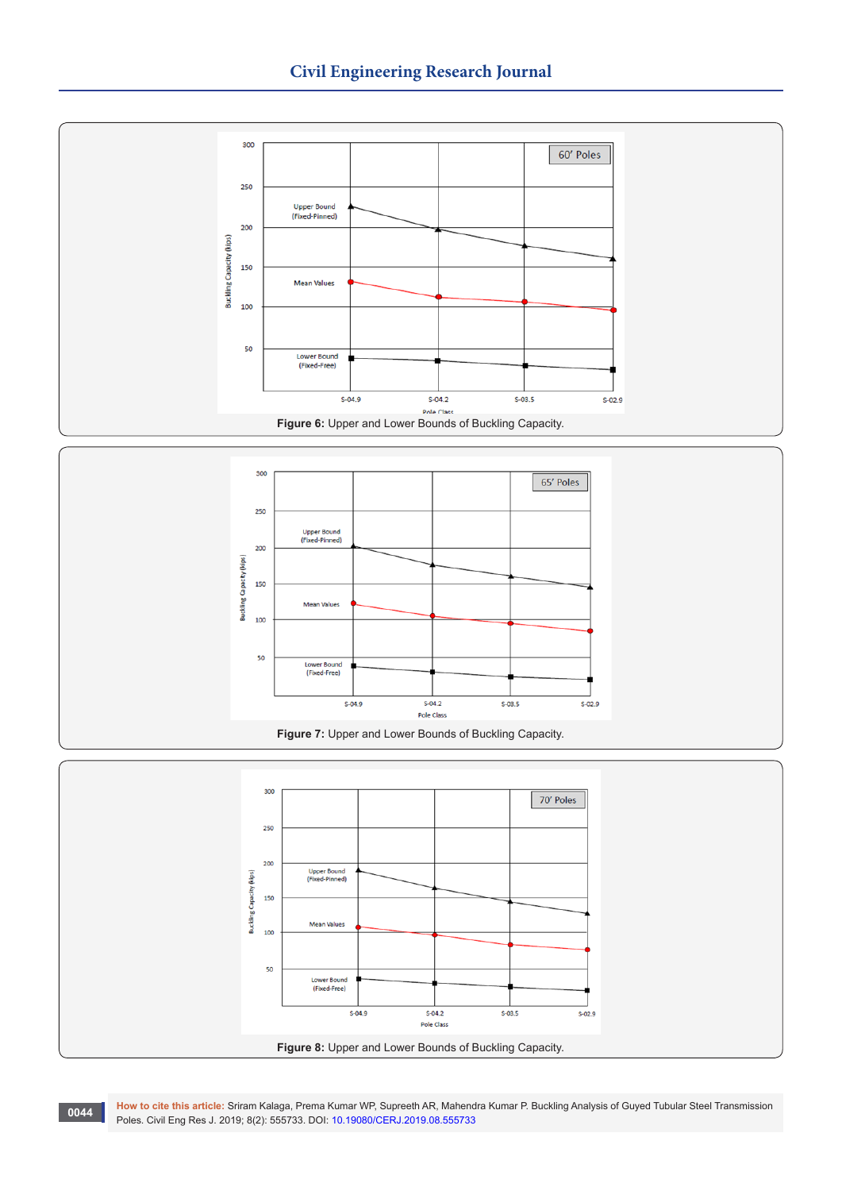





**How to cite this article:** Sriram Kalaga, Prema Kumar WP, Supreeth AR, Mahendra Kumar P. Buckling Analysis of Guyed Tubular Steel Transmission **Poles. Civil Eng Res J. 2019; 8(2): 555733. DOI: [10.19080/CERJ.2019.08.555733](http://dx.doi.org/10.19080/CERJ.2019.08.555733)**<br>Poles. Civil Eng Res J. 2019; 8(2): 555733. DOI: 10.19080/CERJ.2019.08.555733